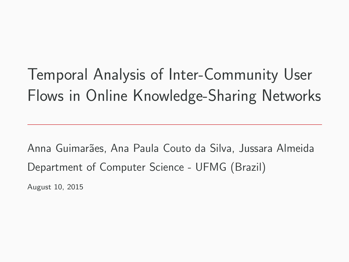Temporal Analysis of Inter-Community User Flows in Online Knowledge-Sharing Networks

Anna Guimar˜aes, Ana Paula Couto da Silva, Jussara Almeida Department of Computer Science - UFMG (Brazil)

August 10, 2015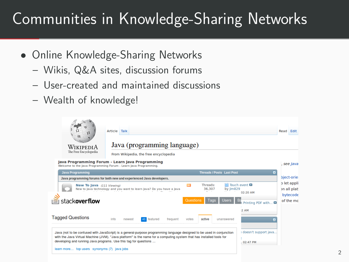- Online Knowledge-Sharing Networks
	- Wikis, Q&A sites, discussion forums
	- User-created and maintained discussions
	- Wealth of knowledge!

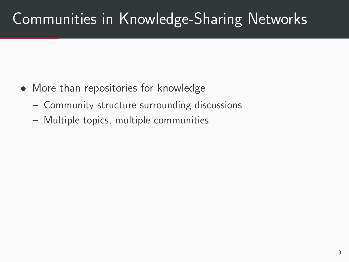- More than repositories for knowledge
	- Community structure surrounding discussions
	- Multiple topics, multiple communities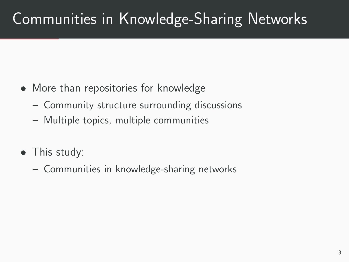- More than repositories for knowledge
	- Community structure surrounding discussions
	- Multiple topics, multiple communities
- This study:
	- Communities in knowledge-sharing networks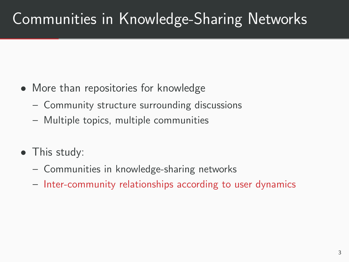- More than repositories for knowledge
	- Community structure surrounding discussions
	- Multiple topics, multiple communities
- This study:
	- Communities in knowledge-sharing networks
	- Inter-community relationships according to user dynamics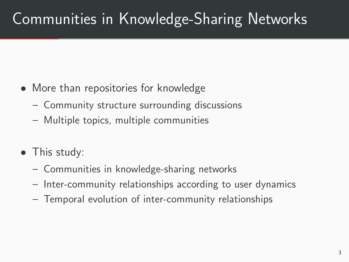- More than repositories for knowledge
	- Community structure surrounding discussions
	- Multiple topics, multiple communities
- This study:
	- Communities in knowledge-sharing networks
	- Inter-community relationships according to user dynamics
	- Temporal evolution of inter-community relationships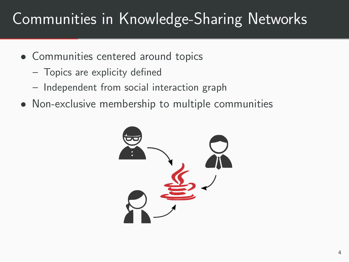- Communities centered around topics
	- Topics are explicity defined
	- Independent from social interaction graph
- Non-exclusive membership to multiple communities

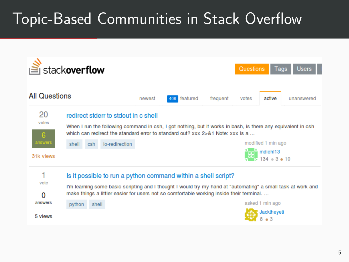# Topic-Based Communities in Stack Overflow

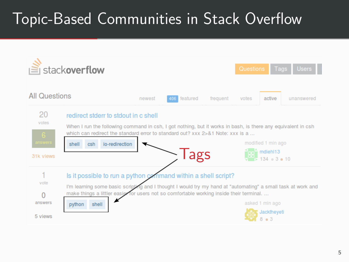# Topic-Based Communities in Stack Overflow

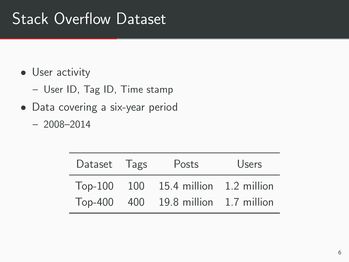### Stack Overflow Dataset

- User activity
	- User ID, Tag ID, Time stamp
- Data covering a six-year period
	- 2008–2014

| Dataset Tags | Posts                                | <b>Users</b> |
|--------------|--------------------------------------|--------------|
|              | Top-100 100 15.4 million 1.2 million |              |
|              | Top-400 400 19.8 million 1.7 million |              |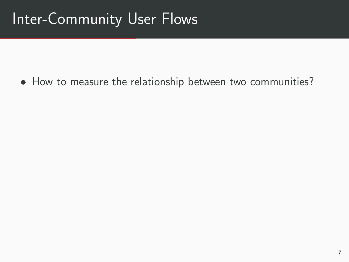• How to measure the relationship between two communities?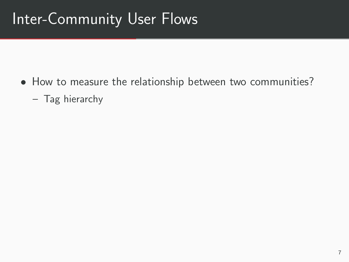- How to measure the relationship between two communities?
	- Tag hierarchy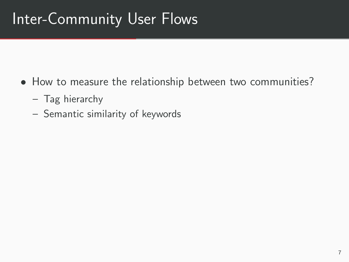- How to measure the relationship between two communities?
	- Tag hierarchy
	- Semantic similarity of keywords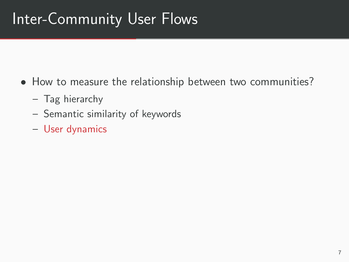- How to measure the relationship between two communities?
	- Tag hierarchy
	- Semantic similarity of keywords
	- User dynamics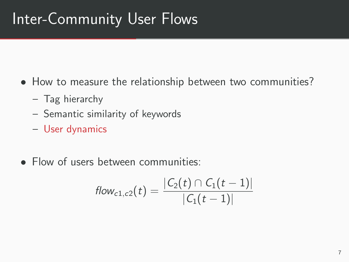- How to measure the relationship between two communities?
	- Tag hierarchy
	- Semantic similarity of keywords
	- User dynamics
- Flow of users between communities:

$$
\mathit{flow}_{c1,c2}(t) = \frac{|C_2(t) \cap C_1(t-1)|}{|C_1(t-1)|}
$$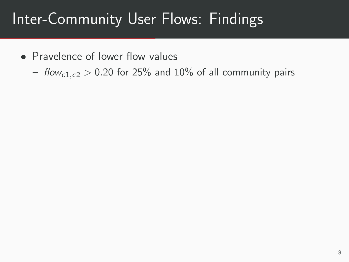### Inter-Community User Flows: Findings

- Pravelence of lower flow values
	- flow<sub>c1,c2</sub> > 0.20 for 25% and 10% of all community pairs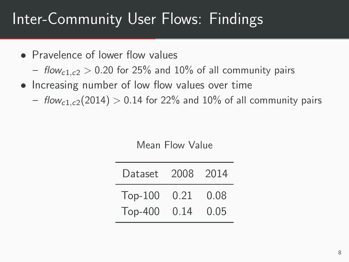### Inter-Community User Flows: Findings

- Pravelence of lower flow values
	- flow<sub>c1,c2</sub> > 0.20 for 25% and 10% of all community pairs
- Increasing number of low flow values over time
	- flow<sub>c1,c2</sub>(2014) > 0.14 for 22% and 10% of all community pairs

Mean Flow Value

| Dataset 2008 2014 |      |      |
|-------------------|------|------|
| $Top-100$         | 0.21 | 0.08 |
| <b>Top-400</b>    | 0.14 | 0.05 |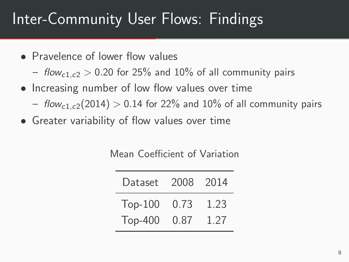### Inter-Community User Flows: Findings

- Pravelence of lower flow values
	- flow<sub>c1,c2</sub> > 0.20 for 25% and 10% of all community pairs
- Increasing number of low flow values over time
	- flow<sub>c1,c2</sub>(2014) > 0.14 for 22% and 10% of all community pairs
- Greater variability of flow values over time

Mean Coefficient of Variation

| Dataset 2008 2014 |      |
|-------------------|------|
| Top-100 0.73      | 1.23 |
| Top-400 0.87      | 1.27 |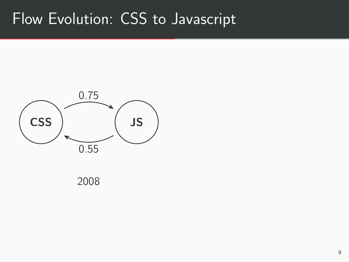#### Flow Evolution: CSS to Javascript



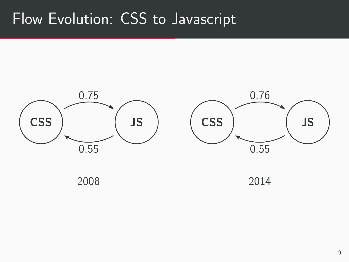#### Flow Evolution: CSS to Javascript





2014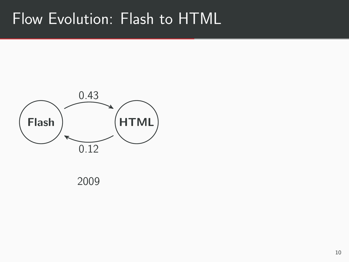#### Flow Evolution: Flash to HTML



2009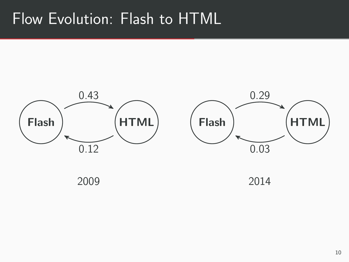#### Flow Evolution: Flash to HTML



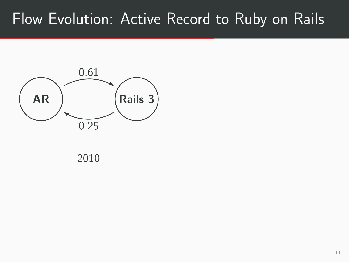#### Flow Evolution: Active Record to Ruby on Rails



2010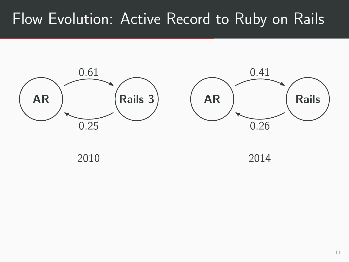#### Flow Evolution: Active Record to Ruby on Rails



2010

2014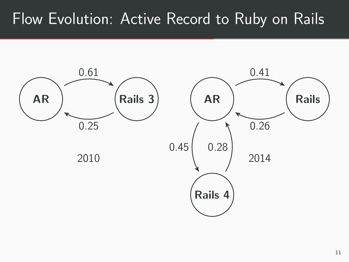#### Flow Evolution: Active Record to Ruby on Rails

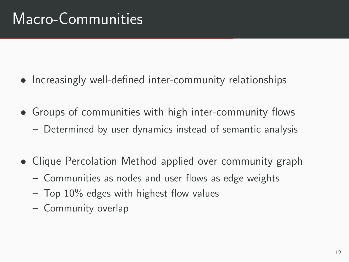## Macro-Communities

- Increasingly well-defined inter-community relationships
- Groups of communities with high inter-community flows
	- Determined by user dynamics instead of semantic analysis
- Clique Percolation Method applied over community graph
	- Communities as nodes and user flows as edge weights
	- $-$  Top 10% edges with highest flow values
	- Community overlap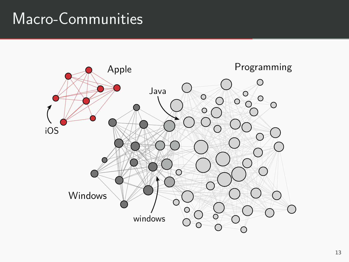#### Macro-Communities

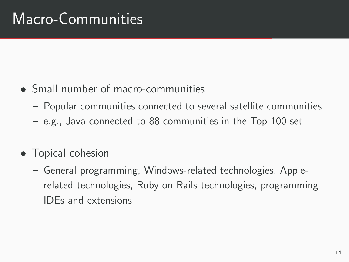## Macro-Communities

- Small number of macro-communities
	- Popular communities connected to several satellite communities
	- e.g., Java connected to 88 communities in the Top-100 set
- Topical cohesion
	- General programming, Windows-related technologies, Applerelated technologies, Ruby on Rails technologies, programming IDEs and extensions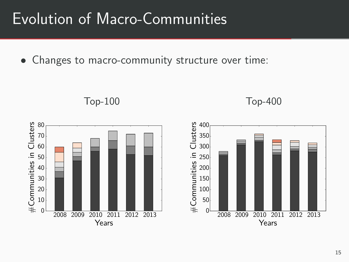#### Evolution of Macro-Communities

• Changes to macro-community structure over time:

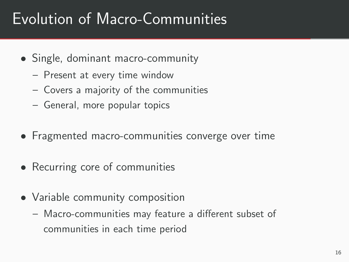### Evolution of Macro-Communities

- Single, dominant macro-community
	- Present at every time window
	- Covers a majority of the communities
	- General, more popular topics
- Fragmented macro-communities converge over time
- Recurring core of communities
- Variable community composition
	- Macro-communities may feature a different subset of communities in each time period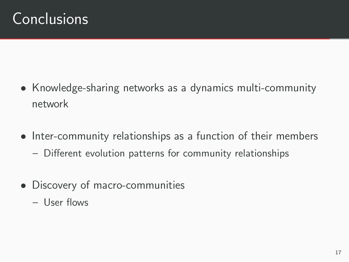#### Conclusions

- Knowledge-sharing networks as a dynamics multi-community network
- Inter-community relationships as a function of their members
	- Different evolution patterns for community relationships
- Discovery of macro-communities
	- User flows